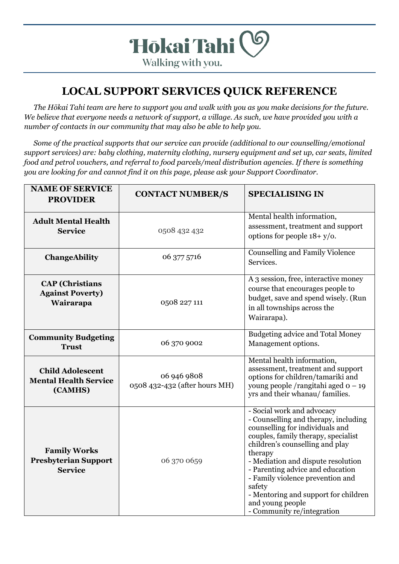

## **LOCAL SUPPORT SERVICES QUICK REFERENCE**

*The Hōkai Tahi team are here to support you and walk with you as you make decisions for the future. We believe that everyone needs a network of support, a village. As such, we have provided you with a number of contacts in our community that may also be able to help you.* 

*Some of the practical supports that our service can provide (additional to our counselling/emotional support services) are: baby clothing, maternity clothing, nursery equipment and set up, car seats, limited food and petrol vouchers, and referral to food parcels/meal distribution agencies. If there is something you are looking for and cannot find it on this page, please ask your Support Coordinator.*

| <b>NAME OF SERVICE</b><br><b>PROVIDER</b>                            | <b>CONTACT NUMBER/S</b>                      | <b>SPECIALISING IN</b>                                                                                                                                                                                                                                                                                                                                                                                       |
|----------------------------------------------------------------------|----------------------------------------------|--------------------------------------------------------------------------------------------------------------------------------------------------------------------------------------------------------------------------------------------------------------------------------------------------------------------------------------------------------------------------------------------------------------|
| <b>Adult Mental Health</b><br><b>Service</b>                         | 0508 432 432                                 | Mental health information,<br>assessment, treatment and support<br>options for people $18 + y$ o.                                                                                                                                                                                                                                                                                                            |
| <b>ChangeAbility</b>                                                 | 06 377 5716                                  | <b>Counselling and Family Violence</b><br>Services.                                                                                                                                                                                                                                                                                                                                                          |
| <b>CAP</b> (Christians<br><b>Against Poverty)</b><br>Wairarapa       | 0508 227 111                                 | A 3 session, free, interactive money<br>course that encourages people to<br>budget, save and spend wisely. (Run<br>in all townships across the<br>Wairarapa).                                                                                                                                                                                                                                                |
| <b>Community Budgeting</b><br><b>Trust</b>                           | 06 370 9002                                  | Budgeting advice and Total Money<br>Management options.                                                                                                                                                                                                                                                                                                                                                      |
| <b>Child Adolescent</b><br><b>Mental Health Service</b><br>(CAMHS)   | 06 946 9808<br>0508 432-432 (after hours MH) | Mental health information,<br>assessment, treatment and support<br>options for children/tamariki and<br>young people /rangitahi aged $o - 19$<br>yrs and their whanau/ families.                                                                                                                                                                                                                             |
| <b>Family Works</b><br><b>Presbyterian Support</b><br><b>Service</b> | 06 370 0659                                  | - Social work and advocacy<br>- Counselling and therapy, including<br>counselling for individuals and<br>couples, family therapy, specialist<br>children's counselling and play<br>therapy<br>- Mediation and dispute resolution<br>- Parenting advice and education<br>- Family violence prevention and<br>safety<br>- Mentoring and support for children<br>and young people<br>- Community re/integration |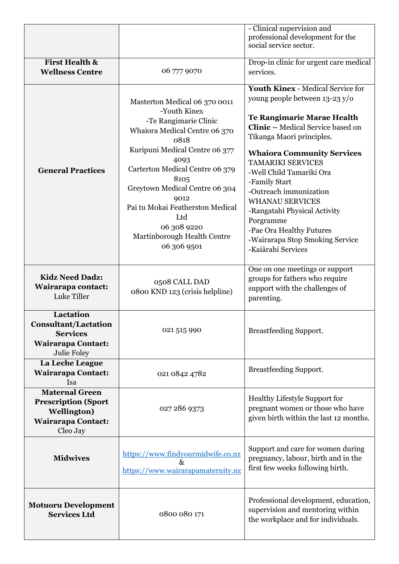|                                                                                                                     |                                                                                                                                                                                                                                                                                                                                                        | - Clinical supervision and<br>professional development for the<br>social service sector.                                                                                                                                                                                                                                                                                                                                                                                              |
|---------------------------------------------------------------------------------------------------------------------|--------------------------------------------------------------------------------------------------------------------------------------------------------------------------------------------------------------------------------------------------------------------------------------------------------------------------------------------------------|---------------------------------------------------------------------------------------------------------------------------------------------------------------------------------------------------------------------------------------------------------------------------------------------------------------------------------------------------------------------------------------------------------------------------------------------------------------------------------------|
| <b>First Health &amp;</b><br><b>Wellness Centre</b>                                                                 | 06 777 9070                                                                                                                                                                                                                                                                                                                                            | Drop-in clinic for urgent care medical<br>services.                                                                                                                                                                                                                                                                                                                                                                                                                                   |
| <b>General Practices</b>                                                                                            | Masterton Medical 06 370 0011<br>-Youth Kinex<br>-Te Rangimarie Clinic<br>Whaiora Medical Centre 06 370<br>0818<br>Kuripuni Medical Centre 06 377<br>4093<br>Carterton Medical Centre 06 379<br>8105<br>Greytown Medical Centre 06 304<br>9012<br>Pai tu Mokai Featherston Medical<br>Ltd<br>06 308 9220<br>Martinborough Health Centre<br>06 306 9501 | <b>Youth Kinex - Medical Service for</b><br>young people between 13-23 y/o<br>Te Rangimarie Marae Health<br><b>Clinic - Medical Service based on</b><br>Tikanga Maori principles.<br><b>Whaiora Community Services</b><br><b>TAMARIKI SERVICES</b><br>-Well Child Tamariki Ora<br>-Family Start<br>-Outreach immunization<br><b>WHANAU SERVICES</b><br>-Rangatahi Physical Activity<br>Porgramme<br>-Pae Ora Healthy Futures<br>-Wairarapa Stop Smoking Service<br>-Kaiārahi Services |
| <b>Kidz Need Dadz:</b><br>Wairarapa contact:<br>Luke Tiller                                                         | 0508 CALL DAD<br>0800 KND 123 (crisis helpline)                                                                                                                                                                                                                                                                                                        | One on one meetings or support<br>groups for fathers who require<br>support with the challenges of<br>parenting.                                                                                                                                                                                                                                                                                                                                                                      |
| Lactation<br><b>Consultant/Lactation</b><br><b>Services</b><br><b>Wairarapa Contact:</b><br>Julie Foley             | 021 515 990                                                                                                                                                                                                                                                                                                                                            | <b>Breastfeeding Support.</b>                                                                                                                                                                                                                                                                                                                                                                                                                                                         |
| La Leche League<br><b>Wairarapa Contact:</b><br>Isa                                                                 | 021 0842 4782                                                                                                                                                                                                                                                                                                                                          | <b>Breastfeeding Support.</b>                                                                                                                                                                                                                                                                                                                                                                                                                                                         |
| <b>Maternal Green</b><br><b>Prescription (Sport</b><br><b>Wellington</b> )<br><b>Wairarapa Contact:</b><br>Cleo Jay | 027 286 9373                                                                                                                                                                                                                                                                                                                                           | Healthy Lifestyle Support for<br>pregnant women or those who have<br>given birth within the last 12 months.                                                                                                                                                                                                                                                                                                                                                                           |
| <b>Midwives</b>                                                                                                     | https://www.findyourmidwife.co.nz<br>$\&$<br>https://www.wairarapamaternity.nz                                                                                                                                                                                                                                                                         | Support and care for women during<br>pregnancy, labour, birth and in the<br>first few weeks following birth.                                                                                                                                                                                                                                                                                                                                                                          |
| <b>Motuoru Development</b><br><b>Services Ltd</b>                                                                   | 0800 080 171                                                                                                                                                                                                                                                                                                                                           | Professional development, education,<br>supervision and mentoring within<br>the workplace and for individuals.                                                                                                                                                                                                                                                                                                                                                                        |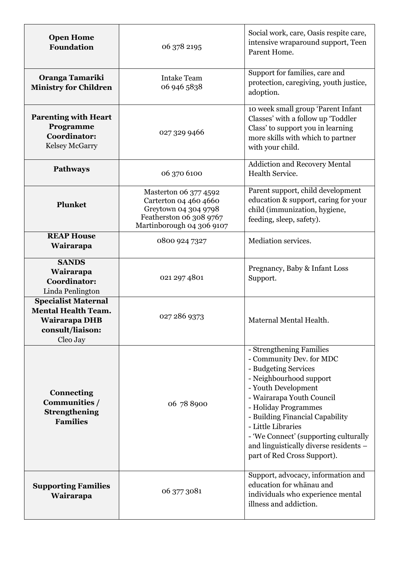| <b>Open Home</b><br><b>Foundation</b>                                                                     | 06 378 2195                                                                                                                    | Social work, care, Oasis respite care,<br>intensive wraparound support, Teen<br>Parent Home.                                                                                                                                                                                                                                                                   |
|-----------------------------------------------------------------------------------------------------------|--------------------------------------------------------------------------------------------------------------------------------|----------------------------------------------------------------------------------------------------------------------------------------------------------------------------------------------------------------------------------------------------------------------------------------------------------------------------------------------------------------|
| Oranga Tamariki<br><b>Ministry for Children</b>                                                           | <b>Intake Team</b><br>06 946 5838                                                                                              | Support for families, care and<br>protection, caregiving, youth justice,<br>adoption.                                                                                                                                                                                                                                                                          |
| <b>Parenting with Heart</b><br>Programme<br><b>Coordinator:</b><br>Kelsey McGarry                         | 027 329 9466                                                                                                                   | 10 week small group 'Parent Infant<br>Classes' with a follow up 'Toddler<br>Class' to support you in learning<br>more skills with which to partner<br>with your child.                                                                                                                                                                                         |
| <b>Pathways</b>                                                                                           | 06 370 6100                                                                                                                    | <b>Addiction and Recovery Mental</b><br>Health Service.                                                                                                                                                                                                                                                                                                        |
| <b>Plunket</b>                                                                                            | Masterton 06 377 4592<br>Carterton 04 460 4660<br>Greytown 04 304 9798<br>Featherston 06 308 9767<br>Martinborough 04 306 9107 | Parent support, child development<br>education & support, caring for your<br>child (immunization, hygiene,<br>feeding, sleep, safety).                                                                                                                                                                                                                         |
| <b>REAP House</b><br>Wairarapa                                                                            | 0800 924 7327                                                                                                                  | <b>Mediation services.</b>                                                                                                                                                                                                                                                                                                                                     |
| <b>SANDS</b><br>Wairarapa<br><b>Coordinator:</b><br>Linda Penlington                                      | 021 297 4801                                                                                                                   | Pregnancy, Baby & Infant Loss<br>Support.                                                                                                                                                                                                                                                                                                                      |
| <b>Specialist Maternal</b><br><b>Mental Health Team.</b><br>Wairarapa DHB<br>consult/liaison:<br>Cleo Jay | 027 286 9373                                                                                                                   | Maternal Mental Health.                                                                                                                                                                                                                                                                                                                                        |
| <b>Connecting</b><br>Communities /<br>Strengthening<br><b>Families</b>                                    | 06 78 8900                                                                                                                     | - Strengthening Families<br>- Community Dev. for MDC<br>- Budgeting Services<br>- Neighbourhood support<br>- Youth Development<br>- Wairarapa Youth Council<br>- Holiday Programmes<br>- Building Financial Capability<br>- Little Libraries<br>- 'We Connect' (supporting culturally<br>and linguistically diverse residents -<br>part of Red Cross Support). |
| <b>Supporting Families</b><br>Wairarapa                                                                   | 06 377 3081                                                                                                                    | Support, advocacy, information and<br>education for whanau and<br>individuals who experience mental<br>illness and addiction.                                                                                                                                                                                                                                  |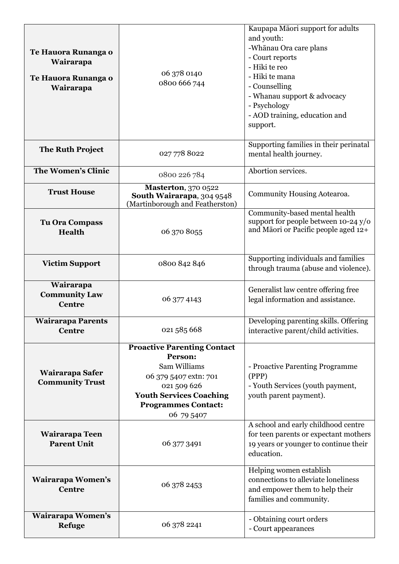| Te Hauora Runanga o<br>Wairarapa<br>Te Hauora Runanga o<br>Wairarapa | 06 378 0140<br>0800 666 744                                                                                                                                                         | Kaupapa Māori support for adults<br>and youth:<br>-Whānau Ora care plans<br>- Court reports<br>- Hiki te reo<br>- Hiki te mana<br>- Counselling<br>- Whanau support & advocacy<br>- Psychology |
|----------------------------------------------------------------------|-------------------------------------------------------------------------------------------------------------------------------------------------------------------------------------|------------------------------------------------------------------------------------------------------------------------------------------------------------------------------------------------|
|                                                                      |                                                                                                                                                                                     | - AOD training, education and<br>support.                                                                                                                                                      |
| <b>The Ruth Project</b>                                              | 027 778 8022                                                                                                                                                                        | Supporting families in their perinatal<br>mental health journey.                                                                                                                               |
| <b>The Women's Clinic</b>                                            | 0800 226 784                                                                                                                                                                        | Abortion services.                                                                                                                                                                             |
| <b>Trust House</b>                                                   | <b>Masterton</b> , 370 0522<br>South Wairarapa, 304 9548<br>(Martinborough and Featherston)                                                                                         | Community Housing Aotearoa.                                                                                                                                                                    |
| <b>Tu Ora Compass</b><br><b>Health</b>                               | 06 370 8055                                                                                                                                                                         | Community-based mental health<br>support for people between 10-24 y/o<br>and Māori or Pacific people aged 12+                                                                                  |
| <b>Victim Support</b>                                                | 0800 842 846                                                                                                                                                                        | Supporting individuals and families<br>through trauma (abuse and violence).                                                                                                                    |
| Wairarapa<br><b>Community Law</b><br><b>Centre</b>                   | 06 377 4143                                                                                                                                                                         | Generalist law centre offering free<br>legal information and assistance.                                                                                                                       |
| <b>Wairarapa Parents</b><br><b>Centre</b>                            | 021 585 668                                                                                                                                                                         | Developing parenting skills. Offering<br>interactive parent/child activities.                                                                                                                  |
| Wairarapa Safer<br><b>Community Trust</b>                            | <b>Proactive Parenting Contact</b><br>Person:<br>Sam Williams<br>06 379 5407 extn: 701<br>021 509 626<br><b>Youth Services Coaching</b><br><b>Programmes Contact:</b><br>06 79 5407 | - Proactive Parenting Programme<br>(PPP)<br>- Youth Services (youth payment,<br>youth parent payment).                                                                                         |
| Wairarapa Teen<br><b>Parent Unit</b>                                 | 06 377 3491                                                                                                                                                                         | A school and early childhood centre<br>for teen parents or expectant mothers<br>19 years or younger to continue their<br>education.                                                            |
| Wairarapa Women's<br><b>Centre</b>                                   | 06 378 2453                                                                                                                                                                         | Helping women establish<br>connections to alleviate loneliness<br>and empower them to help their<br>families and community.                                                                    |
| Wairarapa Women's<br><b>Refuge</b>                                   | 06 378 2241                                                                                                                                                                         | - Obtaining court orders<br>- Court appearances                                                                                                                                                |